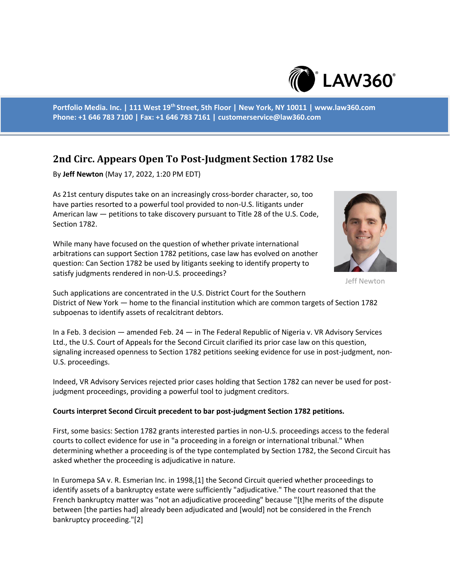

**Portfolio Media. Inc. | 111 West 19th Street, 5th Floor | New York, NY 10011 | www.law360.com Phone: +1 646 783 7100 | Fax: +1 646 783 7161 | customerservice@law360.com**

## **2nd Circ. Appears Open To Post-Judgment Section 1782 Use**

By **Jeff Newton** (May 17, 2022, 1:20 PM EDT)

As 21st century disputes take on an increasingly cross-border character, so, too have parties resorted to a powerful tool provided to non-U.S. litigants under American law — petitions to take discovery pursuant to Title 28 of the U.S. Code, Section 1782.

While many have focused on the question of whether private international arbitrations can support Section 1782 petitions, case law has evolved on another question: Can Section 1782 be used by litigants seeking to identify property to satisfy judgments rendered in non-U.S. proceedings?



Jeff Newton

Such applications are concentrated in the U.S. District Court for the Southern District of New York — home to the financial institution which are common targets of Section 1782 subpoenas to identify assets of recalcitrant debtors.

In a Feb. 3 decision — amended Feb. 24 — in The Federal Republic of Nigeria v. VR Advisory Services Ltd., the U.S. Court of Appeals for the Second Circuit clarified its prior case law on this question, signaling increased openness to Section 1782 petitions seeking evidence for use in post-judgment, non-U.S. proceedings.

Indeed, VR Advisory Services rejected prior cases holding that Section 1782 can never be used for postjudgment proceedings, providing a powerful tool to judgment creditors.

## **Courts interpret Second Circuit precedent to bar post-judgment Section 1782 petitions.**

First, some basics: Section 1782 grants interested parties in non-U.S. proceedings access to the federal courts to collect evidence for use in "a proceeding in a foreign or international tribunal." When determining whether a proceeding is of the type contemplated by Section 1782, the Second Circuit has asked whether the proceeding is adjudicative in nature.

In Euromepa SA v. R. Esmerian Inc. in 1998,[1] the Second Circuit queried whether proceedings to identify assets of a bankruptcy estate were sufficiently "adjudicative." The court reasoned that the French bankruptcy matter was "not an adjudicative proceeding" because "[t]he merits of the dispute between [the parties had] already been adjudicated and [would] not be considered in the French bankruptcy proceeding."[2]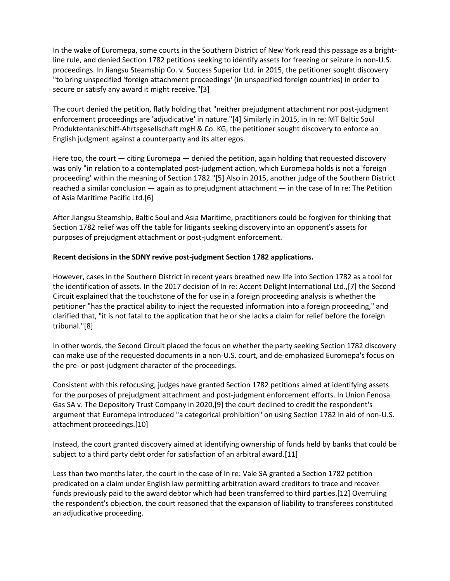In the wake of Euromepa, some courts in the Southern District of New York read this passage as a brightline rule, and denied Section 1782 petitions seeking to identify assets for freezing or seizure in non-U.S. proceedings. In Jiangsu Steamship Co. v. Success Superior Ltd. in 2015, the petitioner sought discovery "to bring unspecified 'foreign attachment proceedings' (in unspecified foreign countries) in order to secure or satisfy any award it might receive."[3]

The court denied the petition, flatly holding that "neither prejudgment attachment nor post-judgment enforcement proceedings are 'adjudicative' in nature."[4] Similarly in 2015, in In re: MT Baltic Soul Produktentankschiff-Ahrtsgesellschaft mgH & Co. KG, the petitioner sought discovery to enforce an English judgment against a counterparty and its alter egos.

Here too, the court  $-$  citing Euromepa  $-$  denied the petition, again holding that requested discovery was only "in relation to a contemplated post-judgment action, which Euromepa holds is not a 'foreign proceeding' within the meaning of Section 1782."[5] Also in 2015, another judge of the Southern District reached a similar conclusion — again as to prejudgment attachment — in the case of In re: The Petition of Asia Maritime Pacific Ltd.[6]

After Jiangsu Steamship, Baltic Soul and Asia Maritime, practitioners could be forgiven for thinking that Section 1782 relief was off the table for litigants seeking discovery into an opponent's assets for purposes of prejudgment attachment or post-judgment enforcement.

## **Recent decisions in the SDNY revive post-judgment Section 1782 applications.**

However, cases in the Southern District in recent years breathed new life into Section 1782 as a tool for the identification of assets. In the 2017 decision of In re: Accent Delight International Ltd.,[7] the Second Circuit explained that the touchstone of the for use in a foreign proceeding analysis is whether the petitioner "has the practical ability to inject the requested information into a foreign proceeding," and clarified that, "it is not fatal to the application that he or she lacks a claim for relief before the foreign tribunal."[8]

In other words, the Second Circuit placed the focus on whether the party seeking Section 1782 discovery can make use of the requested documents in a non-U.S. court, and de-emphasized Euromepa's focus on the pre- or post-judgment character of the proceedings.

Consistent with this refocusing, judges have granted Section 1782 petitions aimed at identifying assets for the purposes of prejudgment attachment and post-judgment enforcement efforts. In Union Fenosa Gas SA v. The Depository Trust Company in 2020,[9] the court declined to credit the respondent's argument that Euromepa introduced "a categorical prohibition" on using Section 1782 in aid of non-U.S. attachment proceedings.[10]

Instead, the court granted discovery aimed at identifying ownership of funds held by banks that could be subject to a third party debt order for satisfaction of an arbitral award.[11]

Less than two months later, the court in the case of In re: Vale SA granted a Section 1782 petition predicated on a claim under English law permitting arbitration award creditors to trace and recover funds previously paid to the award debtor which had been transferred to third parties.[12] Overruling the respondent's objection, the court reasoned that the expansion of liability to transferees constituted an adjudicative proceeding.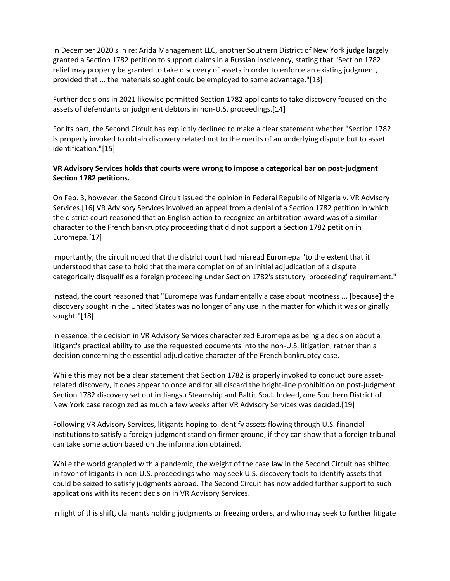In December 2020's In re: Arida Management LLC, another Southern District of New York judge largely granted a Section 1782 petition to support claims in a Russian insolvency, stating that "Section 1782 relief may properly be granted to take discovery of assets in order to enforce an existing judgment, provided that ... the materials sought could be employed to some advantage."[13]

Further decisions in 2021 likewise permitted Section 1782 applicants to take discovery focused on the assets of defendants or judgment debtors in non-U.S. proceedings.[14]

For its part, the Second Circuit has explicitly declined to make a clear statement whether "Section 1782 is properly invoked to obtain discovery related not to the merits of an underlying dispute but to asset identification."[15]

## **VR Advisory Services holds that courts were wrong to impose a categorical bar on post-judgment Section 1782 petitions.**

On Feb. 3, however, the Second Circuit issued the opinion in Federal Republic of Nigeria v. VR Advisory Services.[16] VR Advisory Services involved an appeal from a denial of a Section 1782 petition in which the district court reasoned that an English action to recognize an arbitration award was of a similar character to the French bankruptcy proceeding that did not support a Section 1782 petition in Euromepa.[17]

Importantly, the circuit noted that the district court had misread Euromepa "to the extent that it understood that case to hold that the mere completion of an initial adjudication of a dispute categorically disqualifies a foreign proceeding under Section 1782's statutory 'proceeding' requirement."

Instead, the court reasoned that "Euromepa was fundamentally a case about mootness ... [because] the discovery sought in the United States was no longer of any use in the matter for which it was originally sought."[18]

In essence, the decision in VR Advisory Services characterized Euromepa as being a decision about a litigant's practical ability to use the requested documents into the non-U.S. litigation, rather than a decision concerning the essential adjudicative character of the French bankruptcy case.

While this may not be a clear statement that Section 1782 is properly invoked to conduct pure assetrelated discovery, it does appear to once and for all discard the bright-line prohibition on post-judgment Section 1782 discovery set out in Jiangsu Steamship and Baltic Soul. Indeed, one Southern District of New York case recognized as much a few weeks after VR Advisory Services was decided.[19]

Following VR Advisory Services, litigants hoping to identify assets flowing through U.S. financial institutions to satisfy a foreign judgment stand on firmer ground, if they can show that a foreign tribunal can take some action based on the information obtained.

While the world grappled with a pandemic, the weight of the case law in the Second Circuit has shifted in favor of litigants in non-U.S. proceedings who may seek U.S. discovery tools to identify assets that could be seized to satisfy judgments abroad. The Second Circuit has now added further support to such applications with its recent decision in VR Advisory Services.

In light of this shift, claimants holding judgments or freezing orders, and who may seek to further litigate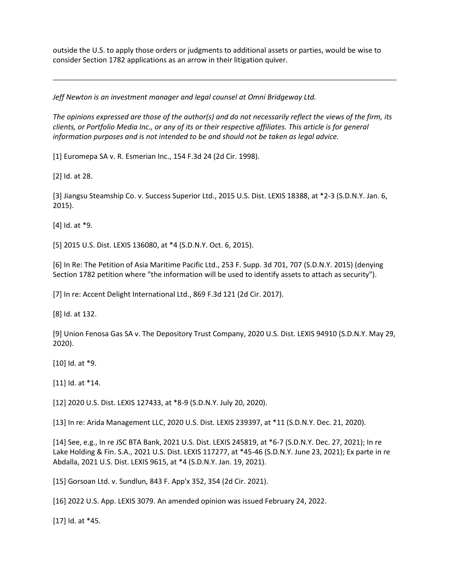outside the U.S. to apply those orders or judgments to additional assets or parties, would be wise to consider Section 1782 applications as an arrow in their litigation quiver.

*Jeff Newton is an investment manager and legal counsel at Omni Bridgeway Ltd.*

*The opinions expressed are those of the author(s) and do not necessarily reflect the views of the firm, its clients, or Portfolio Media Inc., or any of its or their respective affiliates. This article is for general information purposes and is not intended to be and should not be taken as legal advice.*

[1] Euromepa SA v. R. Esmerian Inc., 154 F.3d 24 (2d Cir. 1998).

[2] Id. at 28.

[3] Jiangsu Steamship Co. v. Success Superior Ltd., 2015 U.S. Dist. LEXIS 18388, at \*2-3 (S.D.N.Y. Jan. 6, 2015).

[4] Id. at \*9.

[5] 2015 U.S. Dist. LEXIS 136080, at \*4 (S.D.N.Y. Oct. 6, 2015).

[6] In Re: The Petition of Asia Maritime Pacific Ltd., 253 F. Supp. 3d 701, 707 (S.D.N.Y. 2015) (denying Section 1782 petition where "the information will be used to identify assets to attach as security").

[7] In re: Accent Delight International Ltd., 869 F.3d 121 (2d Cir. 2017).

[8] Id. at 132.

[9] Union Fenosa Gas SA v. The Depository Trust Company, 2020 U.S. Dist. LEXIS 94910 (S.D.N.Y. May 29, 2020).

[10] Id. at \*9.

[11] Id. at \*14.

[12] 2020 U.S. Dist. LEXIS 127433, at \*8-9 (S.D.N.Y. July 20, 2020).

[13] In re: Arida Management LLC, 2020 U.S. Dist. LEXIS 239397, at \*11 (S.D.N.Y. Dec. 21, 2020).

[14] See, e.g., In re JSC BTA Bank, 2021 U.S. Dist. LEXIS 245819, at \*6-7 (S.D.N.Y. Dec. 27, 2021); In re Lake Holding & Fin. S.A., 2021 U.S. Dist. LEXIS 117277, at \*45-46 (S.D.N.Y. June 23, 2021); Ex parte in re Abdalla, 2021 U.S. Dist. LEXIS 9615, at \*4 (S.D.N.Y. Jan. 19, 2021).

[15] Gorsoan Ltd. v. Sundlun, 843 F. App'x 352, 354 (2d Cir. 2021).

[16] 2022 U.S. App. LEXIS 3079. An amended opinion was issued February 24, 2022.

[17] Id. at \*45.